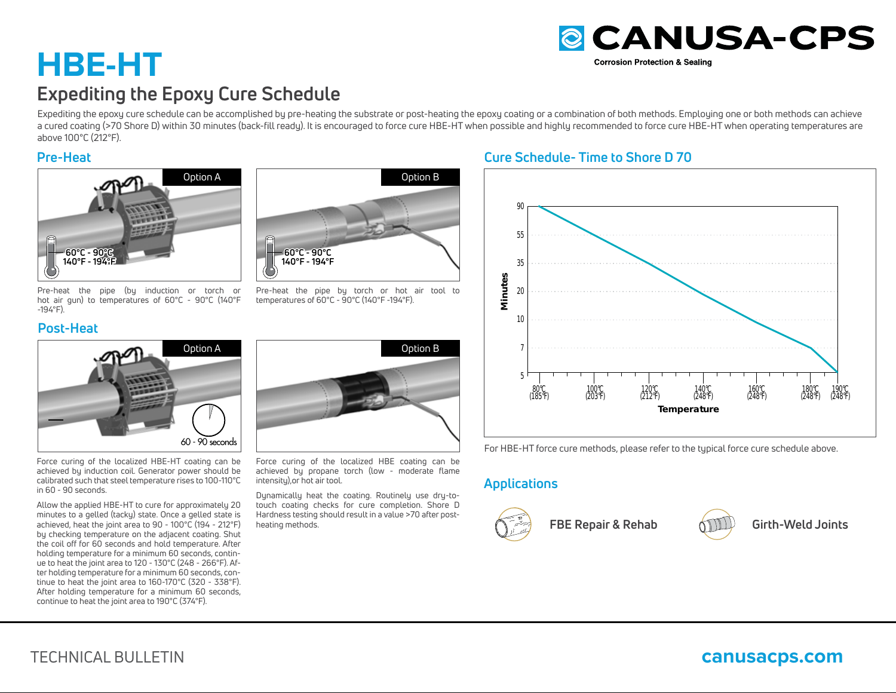# **HBE-HTExpediting the Epoxy Cure Schedule**

Expediting the epoxy cure schedule can be accomplished by pre-heating the substrate or post-heating the epoxy coating or a combination of both methods. Employing one or both methods can achieve a cured coating (>70 Shore D) within 30 minutes (back-fill ready). It is encouraged to force cure HBE-HT when possible and highly recommended to force cure HBE-HT when operating temperatures are above 100°C (212°F).

### **Pre-Heat**



Pre-heat the pipe (by induction or torch or hot air gun) to temperatures of 60°C - 90°C (140°F -194°F).

# **Post-Heat**



Force curing of the localized HBE-HT coating can be achieved by induction coil. Generator power should be calibrated such that steel temperature rises to 100-110°C in 60 - 90 seconds.

Allow the applied HBE-HT to cure for approximately 20 minutes to a gelled (tacky) state. Once a gelled state is achieved, heat the joint area to 90 - 100°C (194 - 212°F) by checking temperature on the adjacent coating. Shut the coil off for 60 seconds and hold temperature. After holding temperature for a minimum 60 seconds, continue to heat the joint area to 120 - 130°C (248 - 266°F). After holding temperature for a minimum 60 seconds, continue to heat the joint area to 160-170°C (320 - 338°F). After holding temperature for a minimum 60 seconds, continue to heat the joint area to 190°C (374°F).



Pre-heat the pipe by torch or hot air tool to temperatures of 60°C - 90°C (140°F -194°F).



Force curing of the localized HBE coating can be achieved by propane torch (low - moderate flame intensity),or hot air tool.

Dynamically heat the coating. Routinely use dry-totouch coating checks for cure completion. Shore D Hardness testing should result in a value >70 after postheating methods.

# **Cure Schedule- Time to Shore D 70**



**& CANUSA-CPS** 

**Corrosion Protection & Sealing** 

For HBE-HT force cure methods, please refer to the typical force cure schedule above.

# **Applications**



**FBE Repair & Rehab Girth-Weld Joints**





TECHNICAL BULLETIN

# **canusacps.com**